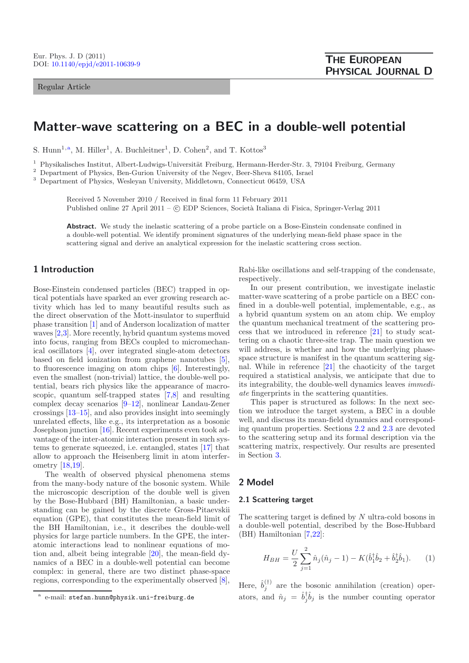Regular Article

# **Matter-wave scattering on a BEC in a double-well potential**

S. Hunn<sup>1,a</sup>, M. Hiller<sup>1</sup>, A. Buchleitner<sup>1</sup>, D. Cohen<sup>2</sup>, and T. Kottos<sup>3</sup>

<sup>1</sup> Physikalisches Institut, Albert-Ludwigs-Universität Freiburg, Hermann-Herder-Str. 3, 79104 Freiburg, Germany

<sup>2</sup> Department of Physics, Ben-Gurion University of the Negev, Beer-Sheva 84105, Israel

<sup>3</sup> Department of Physics, Wesleyan University, Middletown, Connecticut 06459, USA

Received 5 November 2010 / Received in final form 11 February 2011 Published online 27 April 2011 –  $\odot$  EDP Sciences, Società Italiana di Fisica, Springer-Verlag 2011

**Abstract.** We study the inelastic scattering of a probe particle on a Bose-Einstein condensate confined in a double-well potential. We identify prominent signatures of the underlying mean-field phase space in the scattering signal and derive an analytical expression for the inelastic scattering cross section.

# **1 Introduction**

Bose-Einstein condensed particles (BEC) trapped in optical potentials have sparked an ever growing research activity which has led to many beautiful results such as the direct observation of the Mott-insulator to superfluid phase transition [\[1](#page-6-0)] and of Anderson localization of matter waves [\[2](#page-6-1)[,3\]](#page-6-2). More recently, hybrid quantum systems moved into focus, ranging from BECs coupled to micromechanical oscillators [\[4\]](#page-6-3), over integrated single-atom detectors based on field ionization from graphene nanotubes [\[5\]](#page-6-4), to fluorescence imaging on atom chips [\[6](#page-6-5)]. Interestingly, even the smallest (non-trivial) lattice, the double-well potential, bears rich physics like the appearance of macroscopic, quantum self-trapped states [\[7](#page-6-6)[,8\]](#page-6-7) and resulting complex decay scenarios [\[9](#page-6-8)[–12\]](#page-6-9), nonlinear Landau-Zener crossings [\[13](#page-6-10)[–15](#page-6-11)], and also provides insight into seemingly unrelated effects, like e.g., its interpretation as a bosonic Josephson junction [\[16](#page-6-12)]. Recent experiments even took advantage of the inter-atomic interaction present in such systems to generate squeezed, i.e. entangled, states [\[17](#page-6-13)] that allow to approach the Heisenberg limit in atom interferometry [\[18](#page-6-14)[,19\]](#page-6-15).

The wealth of observed physical phenomena stems from the many-body nature of the bosonic system. While the microscopic description of the double well is given by the Bose-Hubbard (BH) Hamiltonian, a basic understanding can be gained by the discrete Gross-Pitaevskii equation (GPE), that constitutes the mean-field limit of the BH Hamiltonian, i.e., it describes the double-well physics for large particle numbers. In the GPE, the interatomic interactions lead to nonlinear equations of motion and, albeit being integrable [\[20\]](#page-6-16), the mean-field dynamics of a BEC in a double-well potential can become complex: in general, there are two distinct phase-space regions, corresponding to the experimentally observed [\[8\]](#page-6-7),

Rabi-like oscillations and self-trapping of the condensate, respectively.

In our present contribution, we investigate inelastic matter-wave scattering of a probe particle on a BEC confined in a double-well potential, implementable, e.g., as a hybrid quantum system on an atom chip. We employ the quantum mechanical treatment of the scattering process that we introduced in reference [\[21](#page-6-17)] to study scattering on a chaotic three-site trap. The main question we will address, is whether and how the underlying phasespace structure is manifest in the quantum scattering signal. While in reference [\[21\]](#page-6-17) the chaoticity of the target required a statistical analysis, we anticipate that due to its integrability, the double-well dynamics leaves *immediate* fingerprints in the scattering quantities.

<span id="page-0-0"></span>This paper is structured as follows: In the next section we introduce the target system, a BEC in a double well, and discuss its mean-field dynamics and corresponding quantum properties. Sections [2.2](#page-2-0) and [2.3](#page-2-1) are devoted to the scattering setup and its formal description via the scattering matrix, respectively. Our results are presented in Section [3.](#page-3-0)

## **2 Model**

## <span id="page-0-1"></span>**2.1 Scattering target**

The scattering target is defined by N ultra-cold bosons in a double-well potential, described by the Bose-Hubbard (BH) Hamiltonian [\[7](#page-6-6)[,22](#page-6-18)]:

$$
H_{BH} = \frac{U}{2} \sum_{j=1}^{2} \hat{n}_j (\hat{n}_j - 1) - K(\hat{b}_1^{\dagger} \hat{b}_2 + \hat{b}_2^{\dagger} \hat{b}_1). \tag{1}
$$

Here,  $\hat{b}_j^{(\dagger)}$  are the bosonic annihilation (creation) operators, and  $\hat{n}_j = \hat{b}_j^{\dagger} \hat{b}_j$  is the number counting operator

e-mail: stefan.hunn@physik.uni-freiburg.de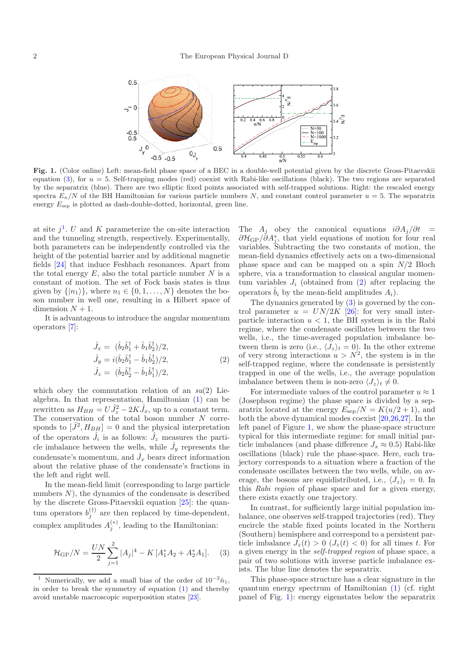

<span id="page-1-3"></span>Fig. 1. (Color online) Left: mean-field phase space of a BEC in a double-well potential given by the discrete Gross-Pitaevskii equation [\(3\)](#page-1-0), for  $u = 5$ . Self-trapping modes (red) coexist with Rabi-like oscillations (black). The two regions are separated by the separatrix (blue). There are two elliptic fixed points associated with self-trapped solutions. Right: the rescaled energy spectra  $E_n/N$  of the BH Hamiltonian for various particle numbers N, and constant control parameter  $u = 5$ . The separatrix energy  $E_{\text{sep}}$  is plotted as dash-double-dotted, horizontal, green line.

at site  $i^1$  $i^1$ . U and K parameterize the on-site interaction and the tunneling strength, respectively. Experimentally, both parameters can be independently controlled via the height of the potential barrier and by additional magnetic fields [\[24\]](#page-6-19) that induce Feshbach resonances. Apart from the total energy  $E$ , also the total particle number  $N$  is a constant of motion. The set of Fock basis states is thus given by  $\{|n_1\rangle\}$ , where  $n_1 \in \{0, 1, ..., N\}$  denotes the boson number in well one, resulting in a Hilbert space of dimension  $N + 1$ .

<span id="page-1-2"></span>It is advantageous to introduce the angular momentum operators [\[7\]](#page-6-6):

$$
\hat{J}_x = (\hat{b}_2 \hat{b}_1^{\dagger} + \hat{b}_1 \hat{b}_2^{\dagger})/2, \n\hat{J}_y = i(\hat{b}_2 \hat{b}_1^{\dagger} - \hat{b}_1 \hat{b}_2^{\dagger})/2, \n\hat{J}_z = (\hat{b}_2 \hat{b}_2^{\dagger} - \hat{b}_1 \hat{b}_1^{\dagger})/2,
$$
\n(2)

which obey the commutation relation of an *su*(2) Liealgebra. In that representation, Hamiltonian [\(1\)](#page-0-0) can be rewritten as  $H_{BH} = U \hat{J}_z^2 - 2K \hat{J}_x$ , up to a constant term. The conservation of the total boson number  $N$  corresponds to  $[\hat{J}^2, H_{BH}] = 0$  and the physical interpretation of the operators  $\hat{J}_i$  is as follows:  $\hat{J}_z$  measures the particle imbalance between the wells, while  $\hat{J}_y$  represents the condensate's momentum, and  $\hat{J}_x$  bears direct information about the relative phase of the condensate's fractions in the left and right well.

<span id="page-1-1"></span>In the mean-field limit (corresponding to large particle numbers  $N$ ), the dynamics of the condensate is described by the discrete Gross-Pitaevskii equation [\[25\]](#page-6-20): the quantum operators  $b_j^{(\dagger)}$  are then replaced by time-dependent, complex amplitudes  $A_j^{(*)}$ , leading to the Hamiltonian:

$$
\mathcal{H}_{\rm GP}/N = \frac{UN}{2} \sum_{j=1}^{2} |A_j|^4 - K \left[ A_1^* A_2 + A_2^* A_1 \right]. \tag{3}
$$

The  $A_i$  obey the canonical equations  $i\partial A_j/\partial t =$  $\partial \mathcal{H}_{\text{GP}}/\partial A_j^*$ , that yield equations of motion for four real variables. Subtracting the two constants of motion, the mean-field dynamics effectively acts on a two-dimensional phase space and can be mapped on a spin  $N/2$  Bloch sphere, via a transformation to classical angular momentum variables  $J_i$  (obtained from  $(2)$ ) after replacing the operators  $\hat{b}_i$  by the mean-field amplitudes  $A_i$ ).

The dynamics generated by [\(3\)](#page-1-0) is governed by the control parameter  $u = UN/2K$  [\[26](#page-6-22)]: for very small interparticle interaction  $u < 1$ , the BH system is in the Rabi regime, where the condensate oscillates between the two wells, i.e., the time-averaged population imbalance between them is zero (i.e.,  $\langle J_z \rangle_t = 0$ ). In the other extreme of very strong interactions  $u > N^2$ , the system is in the self-trapped regime, where the condensate is persistently trapped in one of the wells, i.e., the average population imbalance between them is non-zero  $\langle J_z \rangle_t \neq 0$ .

<span id="page-1-0"></span>For intermediate values of the control parameter  $u \approx 1$ (Josephson regime) the phase space is divided by a separatrix located at the energy  $E_{\rm sep}/N = K(u/2 + 1)$ , and both the above dynamical modes coexist [\[20](#page-6-16)[,26](#page-6-22)[,27](#page-6-23)]. In the left panel of Figure [1,](#page-1-3) we show the phase-space structure typical for this intermediate regime: for small initial particle imbalances (and phase difference  $J_x \approx 0.5$ ) Rabi-like oscillations (black) rule the phase-space. Here, each trajectory corresponds to a situation where a fraction of the condensate oscillates between the two wells, while, on average, the bosons are equidistributed, i.e.,  $\langle J_z \rangle_t = 0$ . In this *Rabi region* of phase space and for a given energy, there exists exactly one trajectory.

In contrast, for sufficiently large initial population imbalance, one observes self-trapped trajectories (red). They encircle the stable fixed points located in the Northern (Southern) hemisphere and correspond to a persistent particle imbalance  $J_z(t) > 0$   $(J_z(t) < 0)$  for all times t. For a given energy in the *self-trapped region* of phase space, a pair of two solutions with inverse particle imbalance exists. The blue line denotes the separatrix.

This phase-space structure has a clear signature in the quantum energy spectrum of Hamiltonian [\(1\)](#page-0-0) (cf. right panel of Fig. [1\)](#page-1-3): energy eigenstates below the separatrix

Numerically, we add a small bias of the order of  $10^{-2}\hat{n}_1$ , in order to break the symmetry of equation [\(1\)](#page-0-0) and thereby avoid unstable macroscopic superposition states [\[23](#page-6-21)].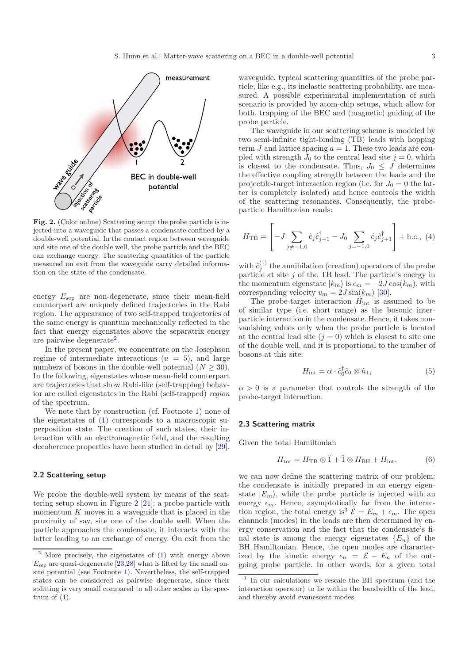<span id="page-2-3"></span>

**Fig. 2.** (Color online) Scattering setup: the probe particle is injected into a waveguide that passes a condensate confined by a double-well potential. In the contact region between waveguide and site one of the double well, the probe particle and the BEC can exchange energy. The scattering quantities of the particle measured on exit from the waveguide carry detailed information on the state of the condensate.

energy  $E_{\text{sep}}$  are non-degenerate, since their mean-field counterpart are uniquely defined trajectories in the Rabi region. The appearance of two self-trapped trajectories of the same energy is quantum mechanically reflected in the fact that energy eigenstates above the separatrix energy are pairwise degenerate[2](#page-2-2).

In the present paper, we concentrate on the Josephson regime of intermediate interactions  $(u = 5)$ , and large numbers of bosons in the double-well potential  $(N > 30)$ . In the following, eigenstates whose mean-field counterpart are trajectories that show Rabi-like (self-trapping) behavior are called eigenstates in the Rabi (self-trapped) *region* of the spectrum.

We note that by construction (cf. Footnote [1\)](#page-1-1) none of the eigenstates of [\(1\)](#page-0-0) corresponds to a macroscopic superposition state. The creation of such states, their interaction with an electromagnetic field, and the resulting decoherence properties have been studied in detail by [\[29\]](#page-6-24).

## <span id="page-2-2"></span><span id="page-2-0"></span>**2.2 Scattering setup**

We probe the double-well system by means of the scattering setup shown in Figure [2](#page-2-3) [\[21](#page-6-17)]: a probe particle with momentum  $K$  moves in a waveguide that is placed in the proximity of say, site one of the double well. When the particle approaches the condensate, it interacts with the latter leading to an exchange of energy. On exit from the waveguide, typical scattering quantities of the probe particle, like e.g., its inelastic scattering probability, are measured. A possible experimental implementation of such scenario is provided by atom-chip setups, which allow for both, trapping of the BEC and (magnetic) guiding of the probe particle.

The waveguide in our scattering scheme is modeled by two semi-infinite tight-binding (TB) leads with hopping term  $J$  and lattice spacing  $a = 1$ . These two leads are coupled with strength  $J_0$  to the central lead site  $j = 0$ , which is closest to the condensate. Thus,  $J_0 \leq J$  determines the effective coupling strength between the leads and the projectile-target interaction region (i.e. for  $J_0 = 0$  the latter is completely isolated) and hence controls the width of the scattering resonances. Consequently, the probeparticle Hamiltonian reads:

$$
H_{\rm TB} = \left[ -J \sum_{j \neq -1,0} \hat{c}_j \hat{c}_{j+1}^\dagger - J_0 \sum_{j=-1,0} \hat{c}_j \hat{c}_{j+1}^\dagger \right] + \text{h.c., (4)}
$$

with  $\hat{c}_j^{(\dagger)}$  the annihilation (creation) operators of the probe particle at site  $j$  of the TB lead. The particle's energy in the momentum eigenstate  $|k_m\rangle$  is  $\epsilon_m = -2J \cos(k_m)$ , with corresponding velocity  $v_m = 2J \sin(k_m)$  [\[30](#page-6-26)].

The probe-target interaction  $H_{\text{int}}$  is assumed to be of similar type (i.e. short range) as the bosonic interparticle interaction in the condensate. Hence, it takes nonvanishing values only when the probe particle is located at the central lead site  $(j = 0)$  which is closest to site one of the double well, and it is proportional to the number of bosons at this site:

$$
H_{\text{int}} = \alpha \cdot \hat{c}_0^{\dagger} \hat{c}_0 \otimes \hat{n}_1,\tag{5}
$$

 $\alpha > 0$  is a parameter that controls the strength of the probe-target interaction.

## <span id="page-2-1"></span>**2.3 Scattering matrix**

Given the total Hamiltonian

$$
H_{\text{tot}} = H_{\text{TB}} \otimes \hat{1} + \hat{1} \otimes H_{\text{BH}} + H_{\text{int}}, \tag{6}
$$

<span id="page-2-4"></span>we can now define the scattering matrix of our problem: the condensate is initially prepared in an energy eigenstate  $|E_m\rangle$ , while the probe particle is injected with an energy  $\epsilon_m$ . Hence, asymptotically far from the interac-tion region, the total energy is<sup>[3](#page-2-4)</sup>  $\mathcal{E} = E_m + \epsilon_m$ . The open channels (modes) in the leads are then determined by energy conservation and the fact that the condensate's final state is among the energy eigenstates  ${E_n}$  of the BH Hamiltonian. Hence, the open modes are characterized by the kinetic energy  $\epsilon_n = \mathcal{E} - E_n$  of the outgoing probe particle. In other words, for a given total

<sup>2</sup> More precisely, the eigenstates of [\(1\)](#page-0-0) with energy above  $E_{\text{sep}}$  are quasi-degenerate [\[23](#page-6-21)[,28](#page-6-25)] what is lifted by the small onsite potential (see Footnote [1\)](#page-1-1). Nevertheless, the self-trapped states can be considered as pairwise degenerate, since their splitting is very small compared to all other scales in the spectrum of  $(1)$ .

<sup>3</sup> In our calculations we rescale the BH spectrum (and the interaction operator) to lie within the bandwidth of the lead, and thereby avoid evanescent modes.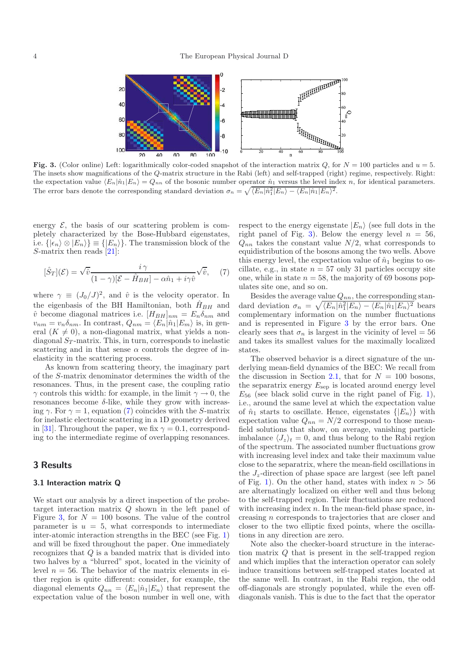<span id="page-3-2"></span>

<span id="page-3-1"></span>**Fig. 3.** (Color online) Left: logarithmically color-coded snapshot of the interaction matrix Q, for  $N = 100$  particles and  $u = 5$ . The insets show magnifications of the Q-matrix structure in the Rabi (left) and self-trapped (right) regime, respectively. Right: the expectation value  $\langle E_n|\hat{n}_1|E_n\rangle = Q_{nn}$  of the bosonic number operator  $\hat{n}_1$  versus the level index n, for identical parameters. The error bars denote the corresponding standard deviation  $\sigma_n = \sqrt{\langle E_n | \hat{n}_1 | E_n \rangle - \langle E_n | \hat{n}_1 | E_n \rangle^2}$ .

energy  $\mathcal{E}$ , the basis of our scattering problem is completely characterized by the Bose-Hubbard eigenstates, i.e.  $\{|\epsilon_n\rangle \otimes |E_n\rangle\} \equiv \{|E_n\rangle\}$ . The transmission block of the S-matrix then reads [\[21](#page-6-17)]:

$$
[\hat{S}_T](\mathcal{E}) = \sqrt{\hat{v}} \frac{i\,\gamma}{(1-\gamma)[\mathcal{E} - \hat{H}_{BH}] - \alpha \hat{n}_1 + i\gamma \hat{v}} \sqrt{\hat{v}},\tag{7}
$$

where  $\gamma \equiv (J_0/J)^2$ , and  $\hat{v}$  is the velocity operator. In the eigenbasis of the BH Hamiltonian, both  $\hat{H}_{BH}$  and  $\hat{v}$  become diagonal matrices i.e.  $[H_{BH}]_{nm} = E_n \delta_{nm}$  and  $v_{nm} = v_n \delta_{nm}$ . In contrast,  $Q_{nm} = \langle E_n | \hat{n}_1 | E_m \rangle$  is, in general  $(K \neq 0)$ , a non-diagonal matrix, what yields a nondiagonal  $S_T$ -matrix. This, in turn, corresponds to inelastic scattering and in that sense  $\alpha$  controls the degree of inelasticity in the scattering process.

As known from scattering theory, the imaginary part of the S-matrix denominator determines the width of the resonances. Thus, in the present case, the coupling ratio  $\gamma$  controls this width: for example, in the limit  $\gamma \to 0,$  the resonances become δ-like, while they grow with increasing  $\gamma$ . For  $\gamma = 1$ , equation [\(7\)](#page-3-1) coincides with the S-matrix for inelastic electronic scattering in a 1D geometry derived in [\[31\]](#page-6-27). Throughout the paper, we fix  $\gamma = 0.1$ , corresponding to the intermediate regime of overlapping resonances.

# <span id="page-3-0"></span>**3 Results**

#### **3.1 Interaction matrix Q**

We start our analysis by a direct inspection of the probetarget interaction matrix Q shown in the left panel of Figure [3,](#page-3-2) for  $N = 100$  bosons. The value of the control parameter is  $u = 5$ , what corresponds to intermediate inter-atomic interaction strengths in the BEC (see Fig. [1\)](#page-1-3) and will be fixed throughout the paper. One immediately recognizes that Q is a banded matrix that is divided into two halves by a "blurred" spot, located in the vicinity of level  $n = 56$ . The behavior of the matrix elements in either region is quite different: consider, for example, the diagonal elements  $Q_{nn} = \langle E_n | \hat{n}_1 | E_n \rangle$  that represent the expectation value of the boson number in well one, with

respect to the energy eigenstate  $|E_n\rangle$  (see full dots in the right panel of Fig. [3\)](#page-3-2). Below the energy level  $n = 56$ ,  $Q_{nn}$  takes the constant value  $N/2$ , what corresponds to equidistribution of the bosons among the two wells. Above this energy level, the expectation value of  $\hat{n}_1$  begins to oscillate, e.g., in state  $n = 57$  only 31 particles occupy site one, while in state  $n = 58$ , the majority of 69 bosons populates site one, and so on.

Besides the average value  $Q_{nn}$ , the corresponding standard deviation  $\sigma_n = \sqrt{\langle E_n | \hat{n}_1 | E_n \rangle - \langle E_n | \hat{n}_1 | E_n \rangle^2}$  bears complementary information on the number fluctuations and is represented in Figure [3](#page-3-2) by the error bars. One clearly sees that  $\sigma_n$  is largest in the vicinity of level = 56 and takes its smallest values for the maximally localized states.

The observed behavior is a direct signature of the underlying mean-field dynamics of the BEC: We recall from the discussion in Section [2.1,](#page-0-1) that for  $N = 100$  bosons, the separatrix energy  $E_{\text{sep}}$  is located around energy level  $E_{56}$  (see black solid curve in the right panel of Fig. [1\)](#page-1-3), i.e., around the same level at which the expectation value of  $\hat{n}_1$  starts to oscillate. Hence, eigenstates  $\{|E_n\rangle\}$  with expectation value  $Q_{nn} = N/2$  correspond to those meanfield solutions that show, on average, vanishing particle imbalance  $\langle J_z \rangle_t = 0$ , and thus belong to the Rabi region of the spectrum. The associated number fluctuations grow with increasing level index and take their maximum value close to the separatrix, where the mean-field oscillations in the J*z*-direction of phase space are largest (see left panel of Fig. [1\)](#page-1-3). On the other hand, states with index  $n > 56$ are alternatingly localized on either well and thus belong to the self-trapped region. Their fluctuations are reduced with increasing index  $n$ . In the mean-field phase space, increasing n corresponds to trajectories that are closer and closer to the two elliptic fixed points, where the oscillations in any direction are zero.

Note also the checker-board structure in the interaction matrix Q that is present in the self-trapped region and which implies that the interaction operator can solely induce transitions between self-trapped states located at the same well. In contrast, in the Rabi region, the odd off-diagonals are strongly populated, while the even offdiagonals vanish. This is due to the fact that the operator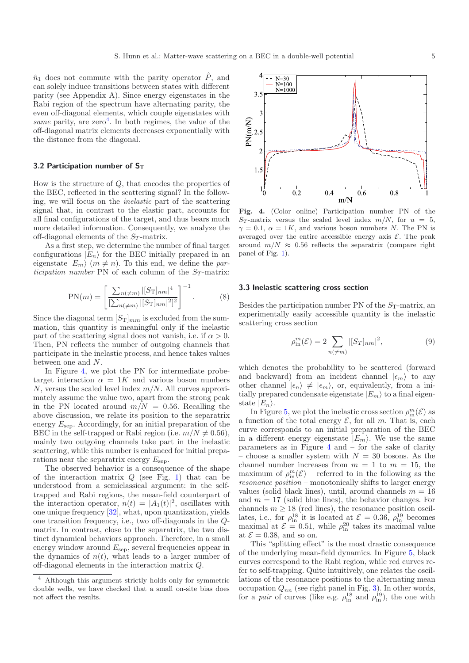$\hat{n}_1$  does not commute with the parity operator  $\hat{P}$ , and can solely induce transitions between states with different parity (see Appendix A). Since energy eigenstates in the Rabi region of the spectrum have alternating parity, the even off-diagonal elements, which couple eigenstates with *same* parity, are zero<sup>[4](#page-4-0)</sup>. In both regimes, the value of the off-diagonal matrix elements decreases exponentially with the distance from the diagonal.

## **3.2 Participation number of ST**

How is the structure of Q, that encodes the properties of the BEC, reflected in the scattering signal? In the following, we will focus on the *inelastic* part of the scattering signal that, in contrast to the elastic part, accounts for all final configurations of the target, and thus bears much more detailed information. Consequently, we analyze the off-diagonal elements of the S*<sup>T</sup>* -matrix.

As a first step, we determine the number of final target configurations  $|E_n\rangle$  for the BEC initially prepared in an eigenstate  $|E_m\rangle$   $(m \neq n)$ . To this end, we define the *participation number* PN of each column of the  $S_T$ -matrix:

$$
PN(m) = \left[\frac{\sum_{n(\neq m)} |[S_T]_{nm}|^4}{[\sum_{n(\neq m)} |[S_T]_{nm}|^2]^2}\right]^{-1}.
$$
 (8)

Since the diagonal term  $[S_T]_{mm}$  is excluded from the summation, this quantity is meaningful only if the inelastic part of the scattering signal does not vanish, i.e. if  $\alpha > 0$ . Then, PN reflects the number of outgoing channels that participate in the inelastic process, and hence takes values between one and N.

In Figure [4,](#page-4-1) we plot the PN for intermediate probetarget interaction  $\alpha = 1K$  and various boson numbers  $N$ , versus the scaled level index  $m/N$ . All curves approximately assume the value two, apart from the strong peak in the PN located around  $m/N = 0.56$ . Recalling the above discussion, we relate its position to the separatrix energy  $E_{\text{sep}}$ . Accordingly, for an initial preparation of the BEC in the self-trapped or Rabi region (i.e.  $m/N \neq 0.56$ ), mainly two outgoing channels take part in the inelastic scattering, while this number is enhanced for initial preparations near the separatrix energy  $E_{\text{sep}}$ .

<span id="page-4-0"></span>The observed behavior is a consequence of the shape of the interaction matrix  $Q$  (see Fig. [1\)](#page-1-3) that can be understood from a semiclassical argument: in the selftrapped and Rabi regions, the mean-field counterpart of the interaction operator,  $n(t) = |A_1(t)|^2$ , oscillates with one unique frequency [\[32](#page-6-28)], what, upon quantization, yields one transition frequency, i.e., two off-diagonals in the Qmatrix. In contrast, close to the separatrix, the two distinct dynamical behaviors approach. Therefore, in a small energy window around  $E_{\text{sep}}$ , several frequencies appear in the dynamics of  $n(t)$ , what leads to a larger number of off-diagonal elements in the interaction matrix Q.

<span id="page-4-1"></span>

<span id="page-4-2"></span>**Fig. 4.** (Color online) Participation number PN of the  $S_T$ -matrix versus the scaled level index  $m/N$ , for  $u = 5$ ,  $\gamma = 0.1, \ \alpha = 1K$ , and various boson numbers N. The PN is averaged over the entire accessible energy axis  $\mathcal{E}$ . The peak around  $m/N \approx 0.56$  reflects the separatrix (compare right panel of Fig. [1\)](#page-1-3).

## **3.3 Inelastic scattering cross section**

Besides the participation number PN of the  $S_T$ -matrix, an experimentally easily accessible quantity is the inelastic scattering cross section

$$
\rho_{\text{in}}^{m}(\mathcal{E}) = 2 \sum_{n(\neq m)} |[S_{T}]_{nm}|^{2}, \tag{9}
$$

which denotes the probability to be scattered (forward and backward) from an incident channel  $|\epsilon_m\rangle$  to any other channel  $|\epsilon_n\rangle \neq |\epsilon_m\rangle$ , or, equivalently, from a initially prepared condensate eigenstate  $|E_m\rangle$  to a final eigenstate  $|E_n\rangle$ .

In Figure [5,](#page-5-0) we plot the inelastic cross section  $\rho_{\text{in}}^m(\mathcal{E})$  as a function of the total energy  $\mathcal{E}$ , for all m. That is, each curve corresponds to an initial preparation of the BEC in a different energy eigenstate  $|E_m\rangle$ . We use the same parameters as in Figure  $4$  and  $-$  for the sake of clarity choose a smaller system with  $N = 30$  bosons. As the channel number increases from  $m = 1$  to  $m = 15$ , the maximum of  $\rho_{\text{in}}^m(\mathcal{E})$  – referred to in the following as the *resonance position* – monotonically shifts to larger energy values (solid black lines), until, around channels  $m = 16$ and  $m = 17$  (solid blue lines), the behavior changes. For channels  $m \geq 18$  (red lines), the resonance position oscillates, i.e., for  $\rho_{\text{in}}^{18}$  it is located at  $\mathcal{E} = 0.36$ ,  $\rho_{\text{in}}^{19}$  becomes maximal at  $\mathcal{E} = 0.51$ , while  $\rho_{\rm in}^{20}$  takes its maximal value at  $\mathcal{E}=0.38,$  and so on.

This "splitting effect" is the most drastic consequence of the underlying mean-field dynamics. In Figure [5,](#page-5-0) black curves correspond to the Rabi region, while red curves refer to self-trapping. Quite intuitively, one relates the oscillations of the resonance positions to the alternating mean occupation  $Q_{nn}$  (see right panel in Fig. [3\)](#page-3-2). In other words, for a *pair* of curves (like e.g.  $\rho_{\text{in}}^{18}$  and  $\rho_{\text{in}}^{19}$ ), the one with

<sup>4</sup> Although this argument strictly holds only for symmetric double wells, we have checked that a small on-site bias does not affect the results.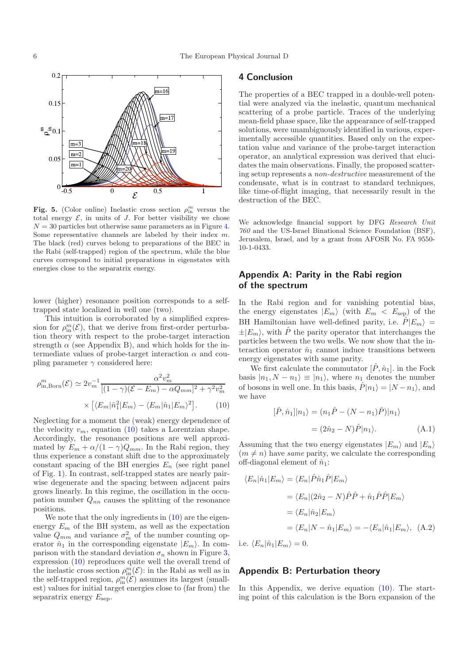<span id="page-5-0"></span>

**Fig. 5.** (Color online) Inelastic cross section  $\rho_{\text{in}}^m$  versus the total energy  $\mathcal{E}$  in units of *I*. For better visibility we chose total energy  $\mathcal{E}$ , in units of J. For better visibility we chose  $N = 30$  particles but otherwise same parameters as in Figure [4.](#page-4-1) Some representative channels are labeled by their index  $m$ . The black (red) curves belong to preparations of the BEC in the Rabi (self-trapped) region of the spectrum, while the blue curves correspond to initial preparations in eigenstates with energies close to the separatrix energy.

lower (higher) resonance position corresponds to a selftrapped state localized in well one (two).

This intuition is corroborated by a simplified expression for  $\rho_{\text{in}}^m(\mathcal{E})$ , that we derive from first-order perturbation theory with respect to the probe-target interaction strength  $\alpha$  (see Appendix B), and which holds for the intermediate values of probe-target interaction  $\alpha$  and coupling parameter  $\gamma$  considered here:

<span id="page-5-1"></span>
$$
\rho_{\text{in,Born}}^m(\mathcal{E}) \simeq 2v_m^{-1} \frac{\alpha^2 v_m^2}{[(1-\gamma)(\mathcal{E} - E_m) - \alpha Q_{mm}]^2 + \gamma^2 v_m^2} \times \left[ \langle E_m | \hat{n}_1^2 | E_m \rangle - \langle E_m | \hat{n}_1 | E_m \rangle^2 \right]. \tag{10}
$$

Neglecting for a moment the (weak) energy dependence of the velocity  $v_m$ , equation [\(10\)](#page-5-1) takes a Lorentzian shape. Accordingly, the resonance positions are well approximated by  $E_m + \alpha/(1-\gamma)Q_{mm}$ . In the Rabi region, they thus experience a constant shift due to the approximately constant spacing of the BH energies  $E_n$  (see right panel of Fig. [1\)](#page-1-3). In contrast, self-trapped states are nearly pairwise degenerate and the spacing between adjacent pairs grows linearly. In this regime, the oscillation in the occupation number  $Q_{nn}$  causes the splitting of the resonance positions.

We note that the only ingredients in  $(10)$  are the eigenenergy  $E_m$  of the BH system, as well as the expectation value  $Q_{mm}$  and variance  $\sigma_m^2$  of the number counting operator  $\hat{n}_1$  in the corresponding eigenstate  $|E_m\rangle$ . In comparison with the standard deviation  $\sigma_n$  shown in Figure [3,](#page-3-2) expression [\(10\)](#page-5-1) reproduces quite well the overall trend of the inelastic cross section  $\rho_{\text{in}}^m(\mathcal{E})$ : in the Rabi as well as in the self-trapped region,  $\rho_{\text{in}}^m(\mathcal{E})$  assumes its largest (smallest) values for initial target energies close to (far from) the separatrix energy  $E_{\text{sep}}$ .

## **4 Conclusion**

The properties of a BEC trapped in a double-well potential were analyzed via the inelastic, quantum mechanical scattering of a probe particle. Traces of the underlying mean-field phase space, like the appearance of self-trapped solutions, were unambiguously identified in various, experimentally accessible quantities. Based only on the expectation value and variance of the probe-target interaction operator, an analytical expression was derived that elucidates the main observations. Finally, the proposed scattering setup represents a *non-destructive* measurement of the condensate, what is in contrast to standard techniques, like time-of-flight imaging, that necessarily result in the destruction of the BEC.

We acknowledge financial support by DFG *Research Unit 760* and the US-Israel Binational Science Foundation (BSF), Jerusalem, Israel, and by a grant from AFOSR No. FA 9550- 10-1-0433.

# **Appendix A: Parity in the Rabi region of the spectrum**

In the Rabi region and for vanishing potential bias, the energy eigenstates  $|E_m\rangle$  (with  $E_m < E_{\rm sep}$ ) of the BH Hamiltonian have well-defined parity, i.e.  $\hat{P}|E_m\rangle =$  $\pm |E_m\rangle$ , with  $\hat{P}$  the parity operator that interchanges the particles between the two wells. We now show that the interaction operator  $\hat{n}_1$  cannot induce transitions between energy eigenstates with same parity.

We first calculate the commutator  $[\hat{P}, \hat{n}_1]$ . in the Fock basis  $|n_1, N - n_1\rangle \equiv |n_1\rangle$ , where  $n_1$  denotes the number of bosons in well one. In this basis,  $\hat{P}|n_1\rangle = |N - n_1\rangle$ , and we have

$$
[\hat{P}, \hat{n}_1]|n_1\rangle = (n_1\hat{P} - (N - n_1)\hat{P})|n_1\rangle
$$

$$
= (2\hat{n}_2 - N)\hat{P}|n_1\rangle.
$$
 (A.1)

Assuming that the two energy eigenstates  $|E_m\rangle$  and  $|E_n\rangle$  $(m \neq n)$  have *same* parity, we calculate the corresponding off-diagonal element of  $\hat{n}_1$ :

$$
\langle E_n|\hat{n}_1|E_m\rangle = \langle E_n|\hat{P}\hat{n}_1\hat{P}|E_m\rangle
$$
  
=  $\langle E_n|(2\hat{n}_2 - N)\hat{P}\hat{P} + \hat{n}_1\hat{P}\hat{P}|E_m\rangle$   
=  $\langle E_n|\hat{n}_2|E_m\rangle$   
=  $\langle E_n|N - \hat{n}_1|E_m\rangle = -\langle E_n|\hat{n}_1|E_m\rangle$ , (A.2)

i.e.  $\langle E_n|\hat{n}_1|E_m\rangle = 0$ .

## **Appendix B: Perturbation theory**

In this Appendix, we derive equation [\(10\)](#page-5-1). The starting point of this calculation is the Born expansion of the